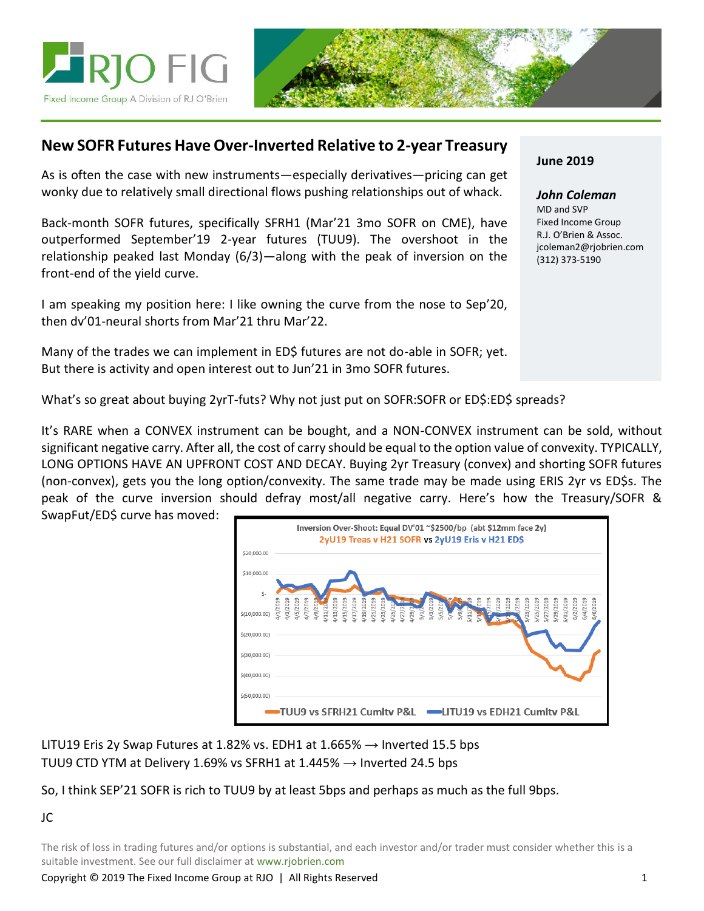



# **New SOFR Futures Have Over-Inverted Relative to 2-year Treasury**

As is often the case with new instruments—especially derivatives—pricing can get wonky due to relatively small directional flows pushing relationships out of whack.

Back-month SOFR futures, specifically SFRH1 (Mar'21 3mo SOFR on CME), have outperformed September'19 2-year futures (TUU9). The overshoot in the relationship peaked last Monday (6/3)—along with the peak of inversion on the front-end of the yield curve.

I am speaking my position here: I like owning the curve from the nose to Sep'20, then dv'01-neural shorts from Mar'21 thru Mar'22.

Many of the trades we can implement in ED\$ futures are not do-able in SOFR; yet. But there is activity and open interest out to Jun'21 in 3mo SOFR futures.

## **June 2019**

*John Coleman* MD and SVP Fixed Income Group R.J. O'Brien & Assoc. jcoleman2@rjobrien.com (312) 373-5190

What's so great about buying 2yrT-futs? Why not just put on SOFR:SOFR or ED\$:ED\$ spreads?

It's RARE when a CONVEX instrument can be bought, and a NON-CONVEX instrument can be sold, without significant negative carry. After all, the cost of carry should be equal to the option value of convexity. TYPICALLY, LONG OPTIONS HAVE AN UPFRONT COST AND DECAY. Buying 2yr Treasury (convex) and shorting SOFR futures (non-convex), gets you the long option/convexity. The same trade may be made using ERIS 2yr vs ED\$s. The peak of the curve inversion should defray most/all negative carry. Here's how the Treasury/SOFR & SwapFut/ED\$ curve has moved:



LITU19 Eris 2y Swap Futures at 1.82% vs. EDH1 at 1.665%  $\rightarrow$  Inverted 15.5 bps TUU9 CTD YTM at Delivery 1.69% vs SFRH1 at 1.445%  $\rightarrow$  Inverted 24.5 bps

### So, I think SEP'21 SOFR is rich to TUU9 by at least 5bps and perhaps as much as the full 9bps.

#### JC

The risk of loss in trading futures and/or options is substantial, and each investor and/or trader must consider whether this is a suitable investment. See our full disclaimer at www.rjobrien.com

Copyright © 2019 The Fixed Income Group at RJO | All Rights Reserved 1